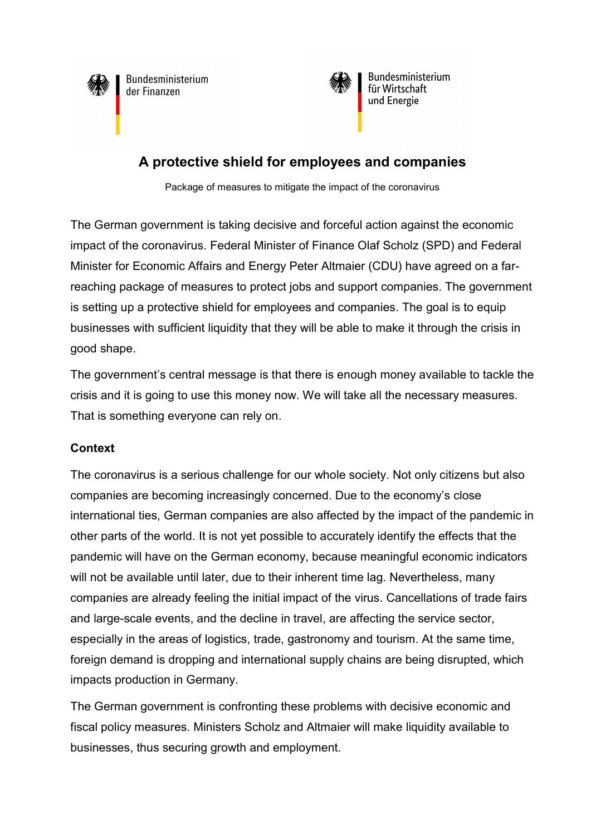



Bundesministerium für Wirtschaft und Energie

# A protective shield for employees and companies

Package of measures to mitigate the impact of the coronavirus

The German government is taking decisive and forceful action against the economic impact of the coronavirus. Federal Minister of Finance Olaf Scholz (SPD) and Federal Minister for Economic Affairs and Energy Peter Altmaier (CDU) have agreed on a farreaching package of measures to protect jobs and support companies. The government is setting up a protective shield for employees and companies. The goal is to equip businesses with sufficient liquidity that they will be able to make it through the crisis in good shape.

The government's central message is that there is enough money available to tackle the crisis and it is going to use this money now. We will take all the necessary measures. That is something everyone can rely on.

# **Context**

The coronavirus is a serious challenge for our whole society. Not only citizens but also companies are becoming increasingly concerned. Due to the economy's close international ties, German companies are also affected by the impact of the pandemic in other parts of the world. It is not yet possible to accurately identify the effects that the pandemic will have on the German economy, because meaningful economic indicators will not be available until later, due to their inherent time lag. Nevertheless, many companies are already feeling the initial impact of the virus. Cancellations of trade fairs and large-scale events, and the decline in travel, are affecting the service sector, especially in the areas of logistics, trade, gastronomy and tourism. At the same time, foreign demand is dropping and international supply chains are being disrupted, which impacts production in Germany.

The German government is confronting these problems with decisive economic and fiscal policy measures. Ministers Scholz and Altmaier will make liquidity available to businesses, thus securing growth and employment.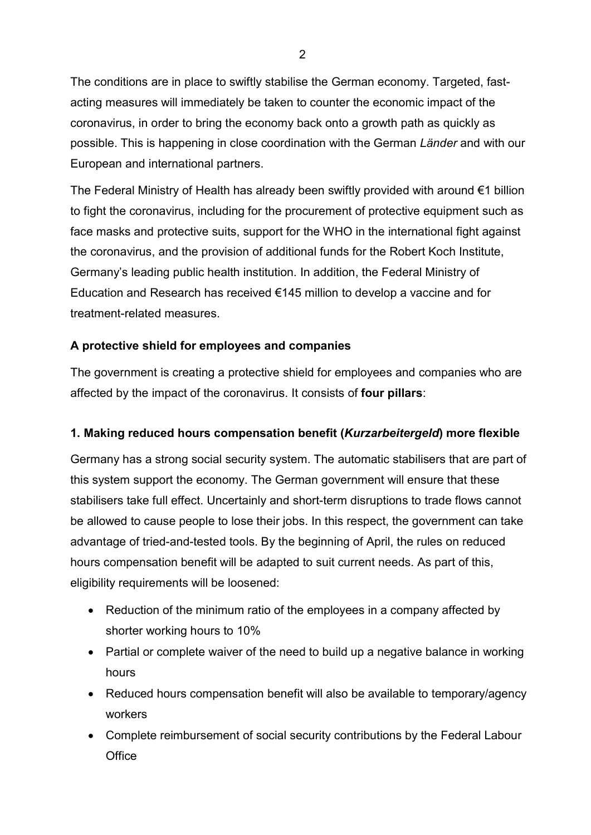The conditions are in place to swiftly stabilise the German economy. Targeted, fastacting measures will immediately be taken to counter the economic impact of the coronavirus, in order to bring the economy back onto a growth path as quickly as possible. This is happening in close coordination with the German Länder and with our European and international partners.

The Federal Ministry of Health has already been swiftly provided with around €1 billion to fight the coronavirus, including for the procurement of protective equipment such as face masks and protective suits, support for the WHO in the international fight against the coronavirus, and the provision of additional funds for the Robert Koch Institute, Germany's leading public health institution. In addition, the Federal Ministry of Education and Research has received €145 million to develop a vaccine and for treatment-related measures.

# A protective shield for employees and companies

The government is creating a protective shield for employees and companies who are affected by the impact of the coronavirus. It consists of four pillars:

## 1. Making reduced hours compensation benefit (Kurzarbeitergeld) more flexible

Germany has a strong social security system. The automatic stabilisers that are part of this system support the economy. The German government will ensure that these stabilisers take full effect. Uncertainly and short-term disruptions to trade flows cannot be allowed to cause people to lose their jobs. In this respect, the government can take advantage of tried-and-tested tools. By the beginning of April, the rules on reduced hours compensation benefit will be adapted to suit current needs. As part of this, eligibility requirements will be loosened:

- Reduction of the minimum ratio of the employees in a company affected by shorter working hours to 10%
- Partial or complete waiver of the need to build up a negative balance in working hours
- Reduced hours compensation benefit will also be available to temporary/agency workers
- Complete reimbursement of social security contributions by the Federal Labour **Office**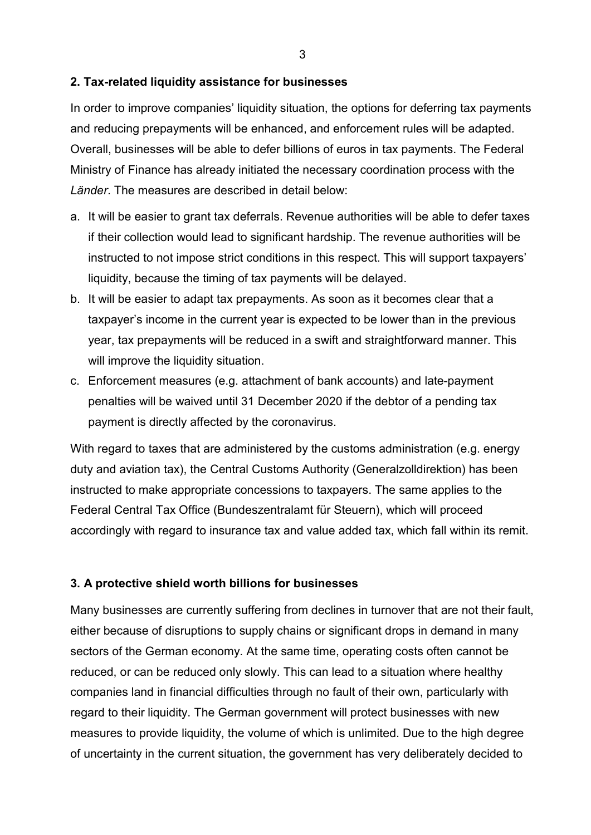#### 2. Tax-related liquidity assistance for businesses

In order to improve companies' liquidity situation, the options for deferring tax payments and reducing prepayments will be enhanced, and enforcement rules will be adapted. Overall, businesses will be able to defer billions of euros in tax payments. The Federal Ministry of Finance has already initiated the necessary coordination process with the Länder. The measures are described in detail below:

- a. It will be easier to grant tax deferrals. Revenue authorities will be able to defer taxes if their collection would lead to significant hardship. The revenue authorities will be instructed to not impose strict conditions in this respect. This will support taxpayers' liquidity, because the timing of tax payments will be delayed.
- b. It will be easier to adapt tax prepayments. As soon as it becomes clear that a taxpayer's income in the current year is expected to be lower than in the previous year, tax prepayments will be reduced in a swift and straightforward manner. This will improve the liquidity situation.
- c. Enforcement measures (e.g. attachment of bank accounts) and late-payment penalties will be waived until 31 December 2020 if the debtor of a pending tax payment is directly affected by the coronavirus.

With regard to taxes that are administered by the customs administration (e.g. energy duty and aviation tax), the Central Customs Authority (Generalzolldirektion) has been instructed to make appropriate concessions to taxpayers. The same applies to the Federal Central Tax Office (Bundeszentralamt für Steuern), which will proceed accordingly with regard to insurance tax and value added tax, which fall within its remit.

## 3. A protective shield worth billions for businesses

Many businesses are currently suffering from declines in turnover that are not their fault, either because of disruptions to supply chains or significant drops in demand in many sectors of the German economy. At the same time, operating costs often cannot be reduced, or can be reduced only slowly. This can lead to a situation where healthy companies land in financial difficulties through no fault of their own, particularly with regard to their liquidity. The German government will protect businesses with new measures to provide liquidity, the volume of which is unlimited. Due to the high degree of uncertainty in the current situation, the government has very deliberately decided to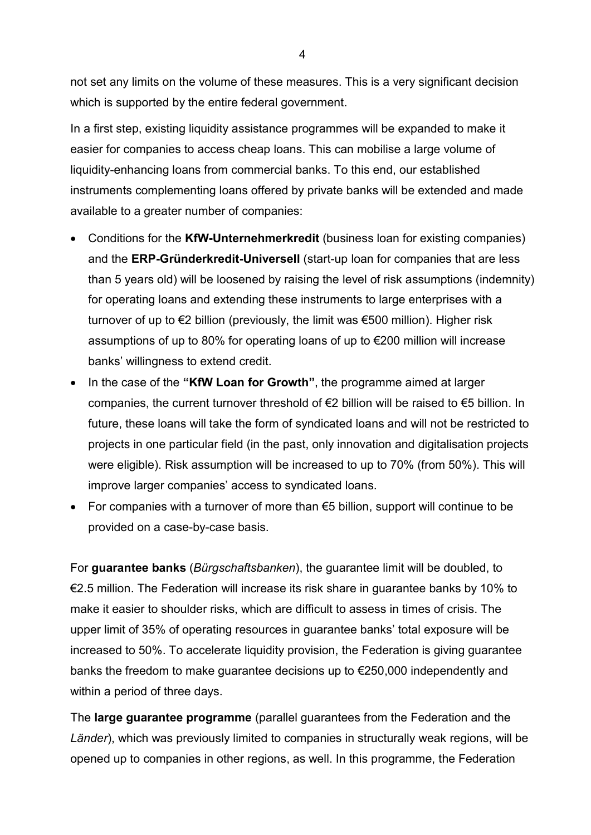not set any limits on the volume of these measures. This is a very significant decision which is supported by the entire federal government.

In a first step, existing liquidity assistance programmes will be expanded to make it easier for companies to access cheap loans. This can mobilise a large volume of liquidity-enhancing loans from commercial banks. To this end, our established instruments complementing loans offered by private banks will be extended and made available to a greater number of companies:

- Conditions for the KfW-Unternehmerkredit (business loan for existing companies) and the ERP-Gründerkredit-Universell (start-up loan for companies that are less than 5 years old) will be loosened by raising the level of risk assumptions (indemnity) for operating loans and extending these instruments to large enterprises with a turnover of up to €2 billion (previously, the limit was €500 million). Higher risk assumptions of up to 80% for operating loans of up to €200 million will increase banks' willingness to extend credit.
- In the case of the "KfW Loan for Growth", the programme aimed at larger companies, the current turnover threshold of  $\epsilon$ 2 billion will be raised to  $\epsilon$ 5 billion. In future, these loans will take the form of syndicated loans and will not be restricted to projects in one particular field (in the past, only innovation and digitalisation projects were eligible). Risk assumption will be increased to up to 70% (from 50%). This will improve larger companies' access to syndicated loans.
- For companies with a turnover of more than €5 billion, support will continue to be provided on a case-by-case basis.

For guarantee banks (Bürgschaftsbanken), the guarantee limit will be doubled, to €2.5 million. The Federation will increase its risk share in guarantee banks by 10% to make it easier to shoulder risks, which are difficult to assess in times of crisis. The upper limit of 35% of operating resources in guarantee banks' total exposure will be increased to 50%. To accelerate liquidity provision, the Federation is giving guarantee banks the freedom to make guarantee decisions up to €250,000 independently and within a period of three days.

The large guarantee programme (parallel guarantees from the Federation and the Länder), which was previously limited to companies in structurally weak regions, will be opened up to companies in other regions, as well. In this programme, the Federation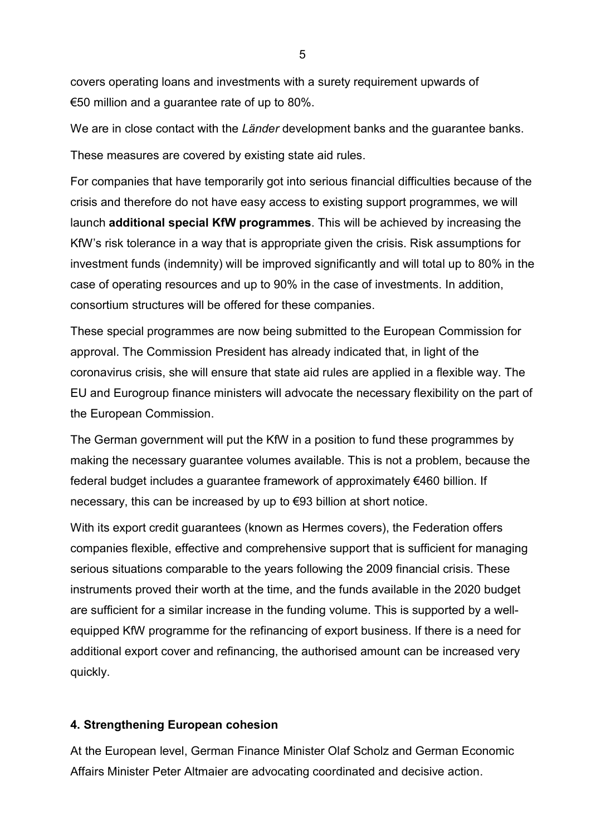covers operating loans and investments with a surety requirement upwards of €50 million and a guarantee rate of up to 80%.

We are in close contact with the Länder development banks and the guarantee banks.

These measures are covered by existing state aid rules.

For companies that have temporarily got into serious financial difficulties because of the crisis and therefore do not have easy access to existing support programmes, we will launch additional special KfW programmes. This will be achieved by increasing the KfW's risk tolerance in a way that is appropriate given the crisis. Risk assumptions for investment funds (indemnity) will be improved significantly and will total up to 80% in the case of operating resources and up to 90% in the case of investments. In addition, consortium structures will be offered for these companies.

These special programmes are now being submitted to the European Commission for approval. The Commission President has already indicated that, in light of the coronavirus crisis, she will ensure that state aid rules are applied in a flexible way. The EU and Eurogroup finance ministers will advocate the necessary flexibility on the part of the European Commission.

The German government will put the KfW in a position to fund these programmes by making the necessary guarantee volumes available. This is not a problem, because the federal budget includes a guarantee framework of approximately €460 billion. If necessary, this can be increased by up to €93 billion at short notice.

With its export credit guarantees (known as Hermes covers), the Federation offers companies flexible, effective and comprehensive support that is sufficient for managing serious situations comparable to the years following the 2009 financial crisis. These instruments proved their worth at the time, and the funds available in the 2020 budget are sufficient for a similar increase in the funding volume. This is supported by a wellequipped KfW programme for the refinancing of export business. If there is a need for additional export cover and refinancing, the authorised amount can be increased very quickly.

## 4. Strengthening European cohesion

At the European level, German Finance Minister Olaf Scholz and German Economic Affairs Minister Peter Altmaier are advocating coordinated and decisive action.

5